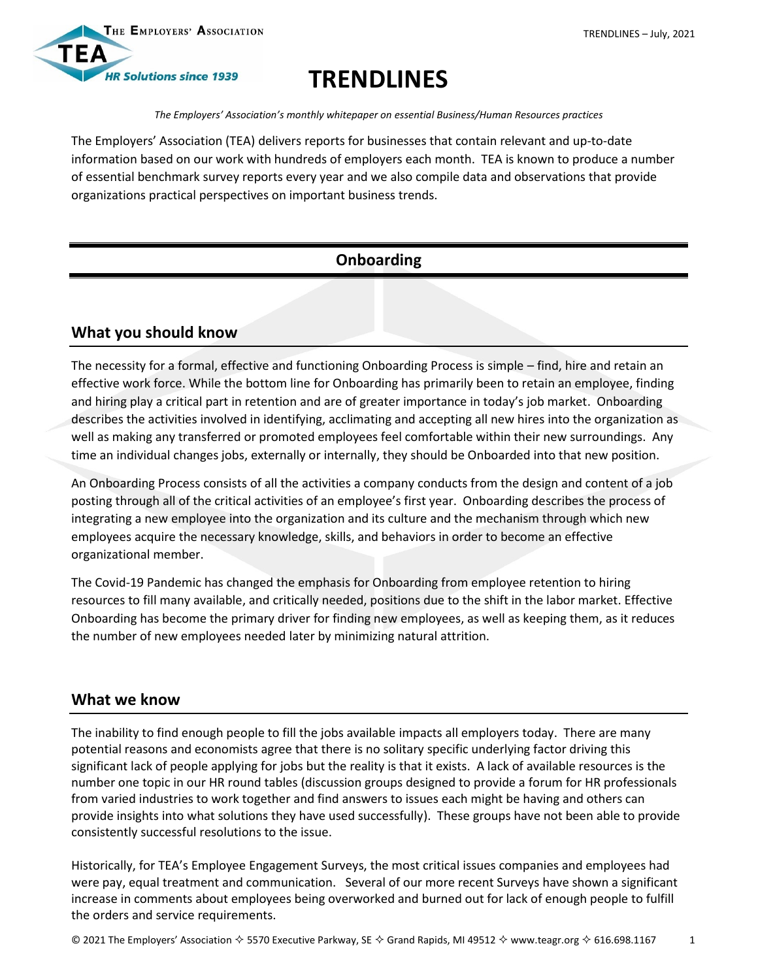



# **TRENDLINES**

*The Employers' Association's monthly whitepaper on essential Business/Human Resources practices*

The Employers' Association (TEA) delivers reports for businesses that contain relevant and up-to-date information based on our work with hundreds of employers each month. TEA is known to produce a number of essential benchmark survey reports every year and we also compile data and observations that provide organizations practical perspectives on important business trends.

# **Onboarding**

# **What you should know**

The necessity for a formal, effective and functioning Onboarding Process is simple – find, hire and retain an effective work force. While the bottom line for Onboarding has primarily been to retain an employee, finding and hiring play a critical part in retention and are of greater importance in today's job market. Onboarding describes the activities involved in identifying, acclimating and accepting all new hires into the organization as well as making any transferred or promoted employees feel comfortable within their new surroundings. Any time an individual changes jobs, externally or internally, they should be Onboarded into that new position.

An Onboarding Process consists of all the activities a company conducts from the design and content of a job posting through all of the critical activities of an employee's first year. Onboarding describes the process of integrating a new employee into the organization and its culture and the mechanism through which new employees acquire the necessary knowledge, skills, and behaviors in order to become an effective organizational member.

The Covid-19 Pandemic has changed the emphasis for Onboarding from employee retention to hiring resources to fill many available, and critically needed, positions due to the shift in the labor market. Effective Onboarding has become the primary driver for finding new employees, as well as keeping them, as it reduces the number of new employees needed later by minimizing natural attrition.

## **What we know**

The inability to find enough people to fill the jobs available impacts all employers today. There are many potential reasons and economists agree that there is no solitary specific underlying factor driving this significant lack of people applying for jobs but the reality is that it exists. A lack of available resources is the number one topic in our HR round tables (discussion groups designed to provide a forum for HR professionals from varied industries to work together and find answers to issues each might be having and others can provide insights into what solutions they have used successfully). These groups have not been able to provide consistently successful resolutions to the issue.

Historically, for TEA's Employee Engagement Surveys, the most critical issues companies and employees had were pay, equal treatment and communication. Several of our more recent Surveys have shown a significant increase in comments about employees being overworked and burned out for lack of enough people to fulfill the orders and service requirements.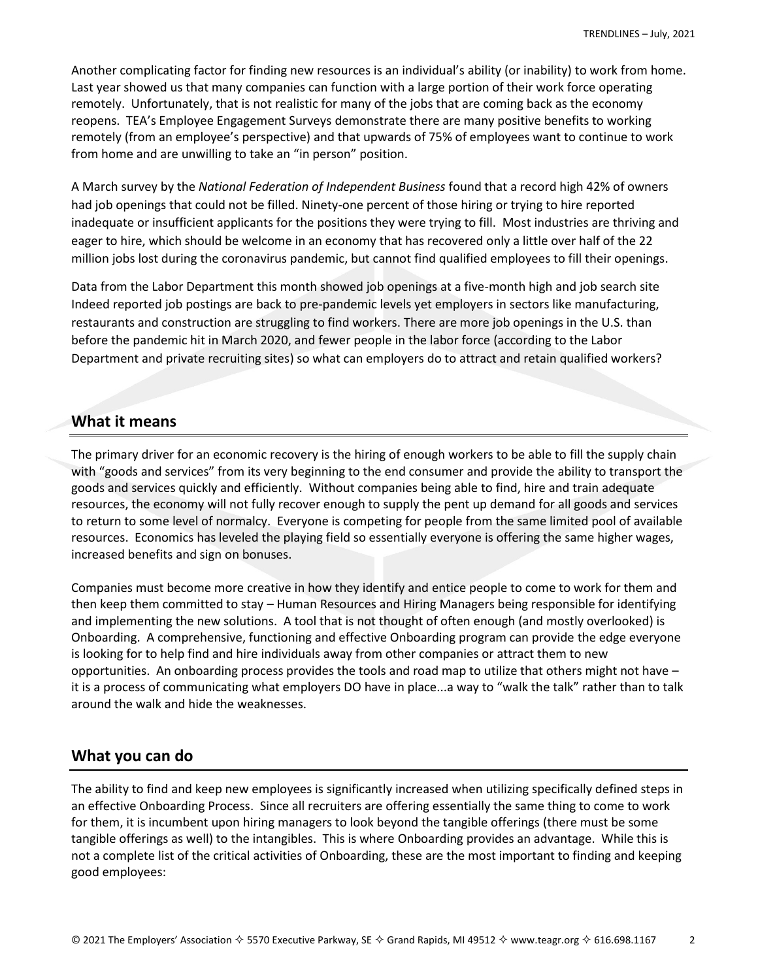Another complicating factor for finding new resources is an individual's ability (or inability) to work from home. Last year showed us that many companies can function with a large portion of their work force operating remotely. Unfortunately, that is not realistic for many of the jobs that are coming back as the economy reopens. TEA's Employee Engagement Surveys demonstrate there are many positive benefits to working remotely (from an employee's perspective) and that upwards of 75% of employees want to continue to work from home and are unwilling to take an "in person" position.

A March survey by the *National Federation of Independent Business* found that a record high 42% of owners had job openings that could not be filled. Ninety-one percent of those hiring or trying to hire reported inadequate or insufficient applicants for the positions they were trying to fill. Most industries are thriving and eager to hire, which should be welcome in an economy that has recovered only a little over half of the 22 million jobs lost during the coronavirus pandemic, but cannot find qualified employees to fill their openings.

Data from the Labor Department this month showed job openings at a five-month high and job search site Indeed reported job postings are back to pre-pandemic levels yet employers in sectors like manufacturing, restaurants and construction are struggling to find workers. There are more job openings in the U.S. than before the pandemic hit in March 2020, and fewer people in the labor force (according to the Labor Department and private recruiting sites) so what can employers do to attract and retain qualified workers?

## **What it means**

The primary driver for an economic recovery is the hiring of enough workers to be able to fill the supply chain with "goods and services" from its very beginning to the end consumer and provide the ability to transport the goods and services quickly and efficiently. Without companies being able to find, hire and train adequate resources, the economy will not fully recover enough to supply the pent up demand for all goods and services to return to some level of normalcy. Everyone is competing for people from the same limited pool of available resources. Economics has leveled the playing field so essentially everyone is offering the same higher wages, increased benefits and sign on bonuses.

Companies must become more creative in how they identify and entice people to come to work for them and then keep them committed to stay – Human Resources and Hiring Managers being responsible for identifying and implementing the new solutions. A tool that is not thought of often enough (and mostly overlooked) is Onboarding. A comprehensive, functioning and effective Onboarding program can provide the edge everyone is looking for to help find and hire individuals away from other companies or attract them to new opportunities. An onboarding process provides the tools and road map to utilize that others might not have – it is a process of communicating what employers DO have in place...a way to "walk the talk" rather than to talk around the walk and hide the weaknesses.

## **What you can do**

The ability to find and keep new employees is significantly increased when utilizing specifically defined steps in an effective Onboarding Process. Since all recruiters are offering essentially the same thing to come to work for them, it is incumbent upon hiring managers to look beyond the tangible offerings (there must be some tangible offerings as well) to the intangibles. This is where Onboarding provides an advantage. While this is not a complete list of the critical activities of Onboarding, these are the most important to finding and keeping good employees: